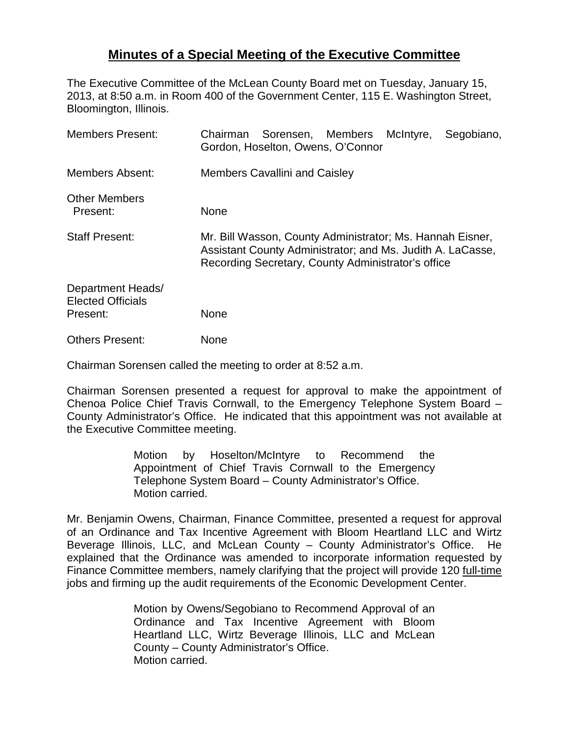## **Minutes of a Special Meeting of the Executive Committee**

The Executive Committee of the McLean County Board met on Tuesday, January 15, 2013, at 8:50 a.m. in Room 400 of the Government Center, 115 E. Washington Street, Bloomington, Illinois.

| <b>Members Present:</b>                                   | Chairman Sorensen, Members McIntyre,<br>Segobiano,<br>Gordon, Hoselton, Owens, O'Connor                                                                                       |
|-----------------------------------------------------------|-------------------------------------------------------------------------------------------------------------------------------------------------------------------------------|
| <b>Members Absent:</b>                                    | <b>Members Cavallini and Caisley</b>                                                                                                                                          |
| <b>Other Members</b><br>Present:                          | None                                                                                                                                                                          |
| <b>Staff Present:</b>                                     | Mr. Bill Wasson, County Administrator; Ms. Hannah Eisner,<br>Assistant County Administrator; and Ms. Judith A. LaCasse,<br>Recording Secretary, County Administrator's office |
| Department Heads/<br><b>Elected Officials</b><br>Present: | None                                                                                                                                                                          |
| <b>Others Present:</b>                                    | None                                                                                                                                                                          |

Chairman Sorensen called the meeting to order at 8:52 a.m.

Chairman Sorensen presented a request for approval to make the appointment of Chenoa Police Chief Travis Cornwall, to the Emergency Telephone System Board – County Administrator's Office. He indicated that this appointment was not available at the Executive Committee meeting.

> Motion by Hoselton/McIntyre to Recommend the Appointment of Chief Travis Cornwall to the Emergency Telephone System Board – County Administrator's Office. Motion carried.

Mr. Benjamin Owens, Chairman, Finance Committee, presented a request for approval of an Ordinance and Tax Incentive Agreement with Bloom Heartland LLC and Wirtz Beverage Illinois, LLC, and McLean County – County Administrator's Office. He explained that the Ordinance was amended to incorporate information requested by Finance Committee members, namely clarifying that the project will provide 120 full-time jobs and firming up the audit requirements of the Economic Development Center.

> Motion by Owens/Segobiano to Recommend Approval of an Ordinance and Tax Incentive Agreement with Bloom Heartland LLC, Wirtz Beverage Illinois, LLC and McLean County – County Administrator's Office. Motion carried.